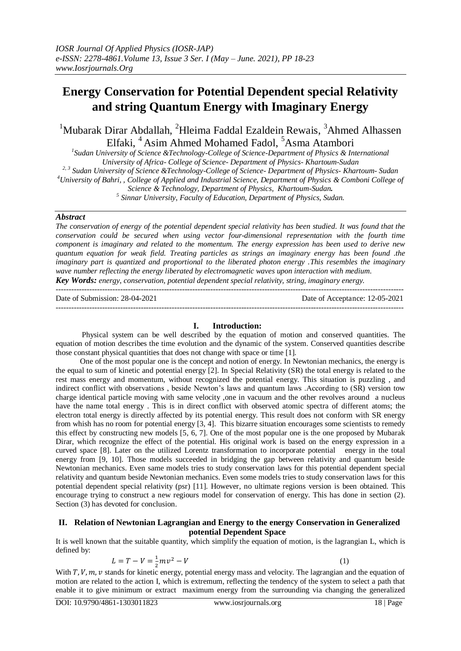# **Energy Conservation for Potential Dependent special Relativity and string Quantum Energy with Imaginary Energy**

 $1$ Mubarak Dirar Abdallah, <sup>2</sup>Hleima Faddal Ezaldein Rewais,  $3$ Ahmed Alhassen Elfaki, <sup>4</sup> Asim Ahmed Mohamed Fadol, <sup>5</sup>Asma Atambori

*1 Sudan University of Science &Technology-College of Science-Department of Physics & International University of Africa- College of Science- Department of Physics- Khartoum-Sudan 2, 3 Sudan University of Science &Technology-College of Science- Department of Physics- Khartoum- Sudan*

*<sup>4</sup>University of Bahri, , College of Applied and Industrial Science, Department of Physics & Comboni College of* 

*Science & Technology, Department of Physics, Khartoum-Sudan.*

*5 Sinnar University, Faculty of Education, Department of Physics, Sudan.*

### *Abstract*

*The conservation of energy of the potential dependent special relativity has been studied. It was found that the conservation could be secured when using vector four-dimensional representation with the fourth time component is imaginary and related to the momentum. The energy expression has been used to derive new quantum equation for weak field. Treating particles as strings an imaginary energy has been found .the imaginary part is quantized and proportional to the liberated photon energy .This resembles the imaginary wave number reflecting the energy liberated by electromagnetic waves upon interaction with medium. Key Words: energy, conservation, potential dependent special relativity, string, imaginary energy.*

---------------------------------------------------------------------------------------------------------------------------------------

Date of Submission: 28-04-2021 Date of Acceptance: 12-05-2021

#### **I. Introduction:**

---------------------------------------------------------------------------------------------------------------------------------------

Physical system can be well described by the equation of motion and conserved quantities. The equation of motion describes the time evolution and the dynamic of the system. Conserved quantities describe those constant physical quantities that does not change with space or time [1].

One of the most popular one is the concept and notion of energy. In Newtonian mechanics, the energy is the equal to sum of kinetic and potential energy [2]. In Special Relativity (SR) the total energy is related to the rest mass energy and momentum, without recognized the potential energy. This situation is puzzling , and indirect conflict with observations , beside Newton's laws and quantum laws .According to (SR) version tow charge identical particle moving with same velocity ,one in vacuum and the other revolves around a nucleus have the name total energy . This is in direct conflict with observed atomic spectra of different atoms; the electron total energy is directly affected by its potential energy. This result does not conform with SR energy from whish has no room for potential energy [3, 4]. This bizarre situation encourages some scientists to remedy this effect by constructing new models [5, 6, 7]. One of the most popular one is the one proposed by Mubarak Dirar, which recognize the effect of the potential. His original work is based on the energy expression in a curved space [8]. Later on the utilized Lorentz transformation to incorporate potential energy in the total energy from [9, 10]. Those models succeeded in bridging the gap between relativity and quantum beside Newtonian mechanics. Even same models tries to study conservation laws for this potential dependent special relativity and quantum beside Newtonian mechanics. Even some models tries to study conservation laws for this potential dependent special relativity (psr) [11]. However, no ultimate regions version is been obtained. This encourage trying to construct a new regiours model for conservation of energy. This has done in section (2). Section (3) has devoted for conclusion.

# **II. Relation of Newtonian Lagrangian and Energy to the energy Conservation in Generalized potential Dependent Space**

It is well known that the suitable quantity, which simplify the equation of motion, is the lagrangian L, which is defined by:

$$
L = T - V = \frac{1}{2}mv^2 - V
$$
 (1)

With T, V,  $m$ , v stands for kinetic energy, potential energy mass and velocity. The lagrangian and the equation of motion are related to the action I, which is extremum, reflecting the tendency of the system to select a path that enable it to give minimum or extract maximum energy from the surrounding via changing the generalized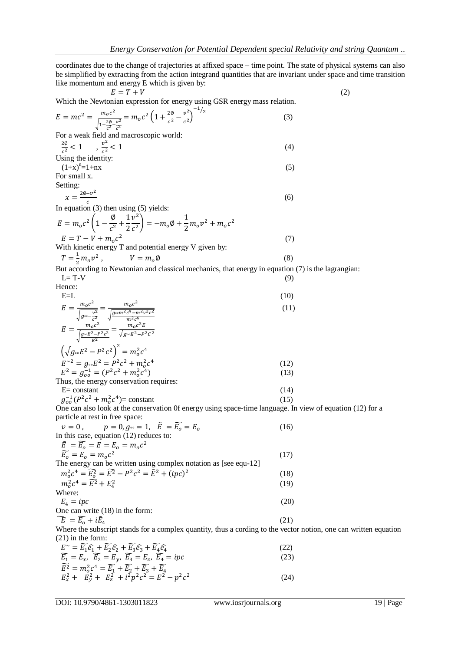coordinates due to the change of trajectories at affixed space – time point. The state of physical systems can also be simplified by extracting from the action integrand quantities that are invariant under space and time transition like momentum and energy E which is given by:

 $E = T + V \tag{2}$ Which the Newtonian expression for energy using GSR energy mass relation.

$$
E = mc^2 = \frac{m_o c^2}{\sqrt{1 + \frac{2\phi}{c^2} \frac{v^2}{c^2}}} = m_o c^2 \left( 1 + \frac{2\phi}{c^2} - \frac{v^2}{c^2} \right)^{-1/2}
$$
(3)

For a weak field and macroscopic world:

$$
\frac{2\phi}{c^2} < 1 \qquad \frac{v^2}{c^2} < 1 \tag{4}
$$
\nUsing the identity:

Using the identity.  
\n
$$
(1+x)^n = 1+nx
$$
 (5)  
\nFor small x.

Setting:

$$
x = \frac{2\emptyset - v^2}{\cdot}
$$
 (6)

In equation (3) then using (5) yields:

$$
E = m_o c^2 \left( 1 - \frac{\phi}{c^2} + \frac{1}{2} \frac{v^2}{c^2} \right) = -m_o \phi + \frac{1}{2} m_o v^2 + m_o c^2
$$
  
\n
$$
E = T - V + m_o c^2
$$
  
\nWith kinetic energy T and potential energy V given by:  
\n
$$
T = \frac{1}{2} m_o v^2
$$
 (7)

 $\frac{1}{2}m_0 v^2$ ,  $V = m_0 \emptyset$  (8)

But according to Newtonian and classical mechanics, that energy in equation (7) is the lagrangian:  $L= T-V$  (9)

Hence:

$$
E=L
$$
(10)  

$$
E = \frac{m_0 c^2}{\sqrt{g_{\infty} \frac{v^2}{c^2}}} = \frac{m_0 c^2}{\sqrt{\frac{g_{\infty} m^2 c^4 - m^2 v^2 c^2}{m^2 c^4}}}
$$
(11)

$$
E = \frac{m_0 c^2}{\sqrt{\frac{g \omega E^2 - P^2 c^2}{E^2}}} = \frac{m_0 c^2 E}{\sqrt{g \omega E^2 - P^2 c^2}}
$$
  
\n
$$
\left(\sqrt{g \omega E^2 - P^2 c^2}\right)^2 = m_0^2 c^4
$$
  
\n
$$
E^{-2} = g \omega E^2 = P^2 c^2 + m_0^2 c^4
$$
  
\n
$$
E^2 = g_{00}^{-1} = (P^2 c^2 + m_0^2 c^4)
$$
  
\nThus, the energy conservation requires: (13)

$$
E = constant
$$
  
\n
$$
g_{oo}^{-1}(P^2c^2 + m_o^2c^4) = constant
$$
\n(14)

One can also look at the conservation 0f energy using space-time language. In view of equation (12) for a particle at rest in free space:

| $v=0$ , $p=0, g_{\infty}=1, \quad \tilde{E}=\widetilde{E_{0}}=E_{\infty}$               | (16) |
|-----------------------------------------------------------------------------------------|------|
| In this case, equation (12) reduces to:                                                 |      |
| $\widetilde{E} = \widetilde{E}_o = E = E_o = m_o c^2$                                   |      |
| $\widetilde{E_{o}} = E_{o} = m_{o}c^{2}$                                                | (17) |
| The energy can be written using complex notation as [see equ-12]                        |      |
| $m_0^2 c^4 = \widetilde{E_0^2} = \widetilde{E^2} - P^2 c^2 = \widetilde{E}^2 + (ipc)^2$ | (18) |
| $m_0^2c^4 = \widetilde{E^2} + E_4^2$                                                    | (19) |
| Where:                                                                                  |      |
| $E_a = ipc$                                                                             | (20) |
| One can write (18) in the form:                                                         |      |
| $\widetilde{E} = \widetilde{E}_{\alpha} + i\widetilde{E}_{4}$                           | (21) |
|                                                                                         |      |

Where the subscript stands for a complex quantity, thus a cording to the vector notion, one can written equation (21) in the form:

$$
E^{\sim} = \widetilde{E_1} \widehat{e_1} + \widetilde{E_2} \widehat{e_2} + \widetilde{E_3} \widehat{e_3} + \widetilde{E_4} \widehat{e_4}
$$
  
\n
$$
\widetilde{E_1} = E_x, \quad \widetilde{E_2} = E_y, \quad \widetilde{E_3} = E_z, \quad \widetilde{E_4} = ipc
$$
  
\n
$$
\widetilde{E^2} = m_o^2 c^4 = \widetilde{E_1} + \widetilde{E_2} + \widetilde{E_3} + \widetilde{E_4}
$$
  
\n
$$
E_x^2 + E_y^2 + E_z^2 + i^2 p^2 c^2 = E^2 - p^2 c^2
$$
\n(24)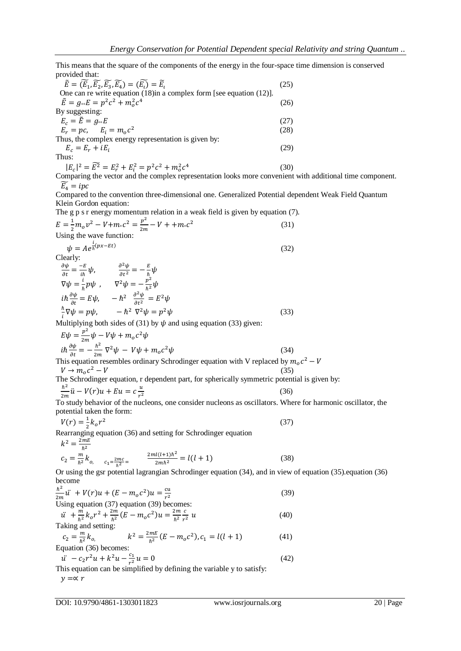This means that the square of the components of the energy in the four-space time dimension is conserved provided that:

| $\widetilde{E} = (\widetilde{E}_1, \widetilde{E_2}, \widetilde{E_3}, \widetilde{E_4}) = (\widetilde{E_1}) = \widetilde{E_1}$ | (25) |
|------------------------------------------------------------------------------------------------------------------------------|------|
| One can re write equation $(18)$ in a complex form [see equation $(12)$ ].                                                   |      |
| $\tilde{E} = g_{\infty} E = p^2 c^2 + m_0^2 c^4$                                                                             | (26) |
| By suggesting:                                                                                                               |      |
| $E_{c} = \tilde{E} = g_{\infty}E$                                                                                            | (27) |
| $E_r = pc$ , $E_i = m_0 c^2$                                                                                                 | (28) |
| Thus, the complex energy representation is given by:                                                                         |      |
| $E_c = E_r + iE_i$                                                                                                           | (29) |
| Thus:                                                                                                                        |      |
| $ E_c ^2 = \widetilde{E^2} = E_r^2 + E_i^2 = p^2c^2 + m_o^2c^4$                                                              | (30) |

Comparing the vector and the complex representation looks more convenient with additional time component.  $\widetilde{E}_4 = ipc$ 

Compared to the convention three-dimensional one. Generalized Potential dependent Weak Field Quantum Klein Gordon equation:

The g p s r energy momentum relation in a weak field is given by equation (7).

$$
E = \frac{1}{2}m_0 v^2 - V + m_0 c^2 = \frac{v^2}{2m} - V + + m_0 c^2
$$
  
Using the wave function: (31)

$$
\psi = Ae^{\frac{1}{\hbar}(px - Et)}Clearly:\n\frac{\partial^2 u}{\partial t^b} - E \qquad \frac{\partial^2 u}{\partial t^b} = E
$$
\n(32)

$$
\frac{\partial \psi}{\partial t} = \frac{-E}{i\hbar} \psi, \qquad \frac{\partial^2 \psi}{\partial t^2} = -\frac{E}{\hbar} \psi
$$
  
\n
$$
\nabla \psi = \frac{i}{\hbar} p \psi, \qquad \nabla^2 \psi = -\frac{p^2}{\hbar^2} \psi
$$
  
\n
$$
i\hbar \frac{\partial \psi}{\partial t} = E \psi, \qquad -\hbar^2 \frac{\partial^2 \psi}{\partial t^2} = E^2 \psi
$$
  
\n
$$
\frac{\hbar}{i} \nabla \psi = p \psi, \qquad -\hbar^2 \nabla^2 \psi = p^2 \psi
$$
\n(33)

Multiplying both sides of (31) by  $\psi$  and using equation (33) given:  $\overline{\mathbf{c}}$ 

$$
E\psi = \frac{p^2}{2m}\psi - V\psi + m_o c^2 \psi
$$
  
\n
$$
i\hbar \frac{\partial \psi}{\partial t} = -\frac{\hbar^2}{2m} \nabla^2 \psi - V\psi + m_o c^2 \psi
$$
 (34)  
\nThis equation resembles ordinary Schrodinger equation with V replaced by  $m_o c^2$ 

 $V \rightarrow m_{o}c^{2} - V$  $2^2 - V$  (35)

The Schrodinger equation, r dependent part, for spherically symmetric potential is given by:  $\overline{\mathbf{c}}$ 

$$
\frac{\hbar^2}{2m}\ddot{u} - V(r)u + Eu = c\frac{u}{r^2}
$$
(36)

To study behavior of the nucleons, one consider nucleons as oscillators. Where for harmonic oscillator, the potential taken the form:

$$
V(r) = \frac{1}{2}k_0 r^2
$$
\n
$$
V(r) = \frac{1}{2}k_0 r^2
$$
\n
$$
V(r) = \frac{1}{2}k_0 r^2
$$
\n
$$
V(r) = \frac{1}{2}k_0 r^2
$$
\n
$$
V(r) = \frac{1}{2}k_0 r^2
$$
\n
$$
V(r) = \frac{1}{2}k_0 r^2
$$
\n
$$
V(r) = \frac{1}{2}k_0 r^2
$$
\n
$$
V(r) = \frac{1}{2}k_0 r^2
$$
\n
$$
V(r) = \frac{1}{2}k_0 r^2
$$
\n
$$
V(r) = \frac{1}{2}k_0 r^2
$$
\n
$$
V(r) = \frac{1}{2}k_0 r^2
$$
\n
$$
V(r) = \frac{1}{2}k_0 r^2
$$
\n
$$
V(r) = \frac{1}{2}k_0 r^2
$$
\n
$$
V(r) = \frac{1}{2}k_0 r^2
$$
\n
$$
V(r) = \frac{1}{2}k_0 r^2
$$
\n
$$
V(r) = \frac{1}{2}k_0 r^2
$$
\n
$$
V(r) = \frac{1}{2}k_0 r^2
$$
\n
$$
V(r) = \frac{1}{2}k_0 r^2
$$
\n
$$
V(r) = \frac{1}{2}k_0 r^2
$$
\n
$$
V(r) = \frac{1}{2}k_0 r^2
$$
\n
$$
V(r) = \frac{1}{2}k_0 r^2
$$
\n
$$
V(r) = \frac{1}{2}k_0 r^2
$$
\n
$$
V(r) = \frac{1}{2}k_0 r^2
$$
\n
$$
V(r) = \frac{1}{2}k_0 r^2
$$
\n
$$
V(r) = \frac{1}{2}k_0 r^2
$$
\n
$$
V(r) = \frac{1}{2}k_0 r^2
$$
\n
$$
V(r) = \frac{1}{2}k_0 r^2
$$
\n
$$
V(r) = \frac{1}{2}k_0 r^2
$$
\n
$$
V(r)
$$

Rearranging equation (36) and setting for Schrodinger equation  $2mF$ 

$$
k^2 = \frac{2mE}{\hbar^2}
$$

$$
c_2 = \frac{m}{\hbar^2} k_o, \qquad c_1 = \frac{2mc}{\hbar^2} = \frac{2ml(l+1)\hbar^2}{2mh^2} = l(l+1)
$$
 (38)

Or using the gsr potential lagrangian Schrodinger equation (34), and in view of equation (35). equation (36) become

$$
\frac{\hbar^2}{2m}\ddot{u} + V(r)u + (E - m_o c^2)u = \frac{cu}{r^2}
$$
\n
$$
\text{Using equation (37) equation (39) becomes:}
$$
\n(39)

$$
\ddot{u} + \frac{m}{\hbar^2} k_o r^2 + \frac{2m}{\hbar^2} (E - m_o c^2) u = \frac{2m}{\hbar^2} \frac{c}{r^2} u
$$
\n(40)

Taking and setting:  
\n
$$
c_2 = \frac{m}{\hbar^2} k_o, \qquad k^2 = \frac{2mE}{\hbar^2} (E - m_o c^2), c_1 = l(l+1)
$$
\n(41)

Equation (36) becomes:

$$
\ddot{u} - c_2 r^2 u + k^2 u - \frac{c_1}{r^2} u = 0
$$
\nThis equation can be simplified by defining the variable *y* to satisfy

This equation can be simplified by defining the variable y to satisfy:  $y = \propto r$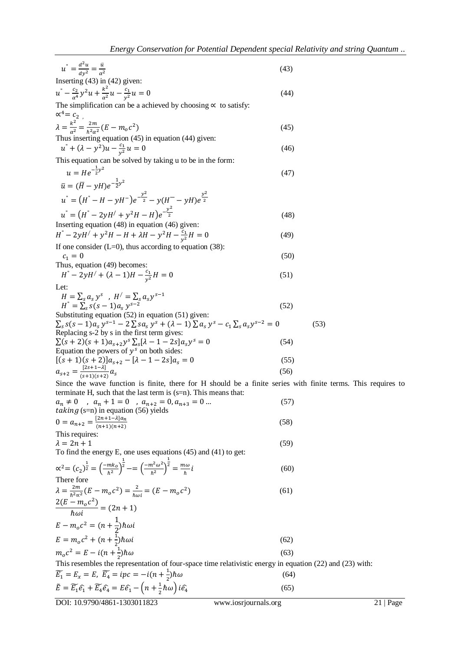| $u^{n} = \frac{d^{2}u}{dx^{2}} = \frac{u}{a^{2}}$                                                                                                          | (43) |      |
|------------------------------------------------------------------------------------------------------------------------------------------------------------|------|------|
| Inserting $(43)$ in $(42)$ given:                                                                                                                          |      |      |
| $u^{n} - \frac{c_2}{\alpha^4}y^2u + \frac{k^2}{\alpha^2}u - \frac{c_1}{y^2}u = 0$                                                                          | (44) |      |
| The simplification can be a achieved by choosing $\propto$ to satisfy:                                                                                     |      |      |
| $\alpha^4 = c_2$                                                                                                                                           |      |      |
| $\lambda = \frac{k^2}{a^2} = \frac{2m}{\hbar^2 a^2} (E - m_o c^2)$                                                                                         | (45) |      |
| Thus inserting equation $(45)$ in equation $(44)$ given:                                                                                                   |      |      |
| $u^{n} + (\lambda - y^{2})u - \frac{c_1}{y^{2}}u = 0$                                                                                                      | (46) |      |
| This equation can be solved by taking u to be in the form:                                                                                                 |      |      |
| $u = He^{-\frac{1}{2}y^2}$                                                                                                                                 | (47) |      |
| $\bar{u} = (\bar{H} - \nu H)e^{-\frac{1}{2}y^2}$                                                                                                           |      |      |
| $u'' = (H'' - H - yH^{-})e^{-\frac{y^{2}}{2}} - y(H^{-} - yH)e^{\frac{y^{2}}{2}}$                                                                          |      |      |
| $u'' = (H'' - 2yH' + y^2H - H)e^{-\frac{y^2}{2}}$                                                                                                          | (48) |      |
| Inserting equation $(48)$ in equation $(46)$ given:                                                                                                        |      |      |
| $H^{\dagger} - 2yH^{\dagger} + y^2H - H + \lambda H - y^2H - \frac{c_1}{y^2}H = 0$                                                                         | (49) |      |
| If one consider $(L=0)$ , thus according to equation (38):                                                                                                 |      |      |
| $c_1 = 0$<br>Thus, equation (49) becomes:                                                                                                                  | (50) |      |
| $H^{\prime\prime} - 2yH^{\prime} + (\lambda - 1)H - \frac{c_1}{v^2}H = 0$                                                                                  | (51) |      |
| Let:                                                                                                                                                       |      |      |
| $H = \sum_{s} a_{s} y^{s}$ , $H' = \sum_{s} a_{s} y^{s-1}$<br>$H'' = \sum_{s} s(s-1)a_s y^{s-2}$                                                           | (52) |      |
| Substituting equation (52) in equation (51) given:                                                                                                         |      |      |
| $\sum_{s} s(s-1)a_s y^{s-1} - 2\sum_{s} s a_s y^s + (\lambda - 1)\sum_{s} a_s y^s - c_1 \sum_{s} a_s y^{s-2} = 0$                                          |      | (53) |
| Replacing s-2 by s in the first term gives:<br>$\sum(s+2)(s+1)a_{s+2}y^{s}\sum_{s}[\lambda-1-2s]a_{s}y^{s}=0$                                              | (54) |      |
| Equation the powers of $y^s$ on both sides:                                                                                                                |      |      |
| $[(s+1)(s+2)]a_{s+2} - [\lambda - 1 - 2s]a_s = 0$                                                                                                          | (55) |      |
| $a_{s+2} = \frac{2s+1-4}{(s+1)(s+2)} a_s$                                                                                                                  | (56) |      |
| Since the wave function is finite, there for H should be a finite series with finite                                                                       |      |      |
| terminate H, such that the last term is $(s=n)$ . This means that:                                                                                         |      |      |
| $a_n \neq 0$ , $a_n + 1 = 0$ , $a_{n+2} = 0$ , $a_{n+3} = 0$                                                                                               | (57) |      |
| taking $(s=n)$ in equation (56) yields                                                                                                                     |      |      |
| $0 = a_{n+2} = \frac{[2n+1-\lambda]a_n}{(n+1)(n+2)}$                                                                                                       | (58) |      |
| This requires:<br>$\lambda = 2n + 1$                                                                                                                       | (59) |      |
| To find the energy E, one uses equations $(45)$ and $(41)$ to get:                                                                                         |      |      |
| $\alpha^2 = (c_2)^{\frac{1}{2}} = \left(\frac{-mk_0}{k^2}\right)^{\frac{1}{2}} = \left(\frac{-m^2\omega^2}{k^2}\right)^{\frac{1}{2}} = \frac{m\omega}{k}i$ | (60) |      |
| There fore                                                                                                                                                 |      |      |
| $\lambda = \frac{2m}{\hbar^2 \alpha^2} (E - m_o c^2) = \frac{2}{\hbar \omega i} = (E - m_o c^2)$                                                           | (61) |      |
| $\frac{2(E - m_0 c^2)}{\hbar \omega i} = (2n + 1)$                                                                                                         |      |      |
| $E - m_o c^2 = (n + \frac{1}{2}) \hbar \omega i$                                                                                                           |      |      |
| $E = m_o c^2 + (n + \frac{1}{2}) \hbar \omega i$                                                                                                           | (62) |      |
| $m_0 c^2 = E - i(n + \frac{1}{2})\hbar \omega$                                                                                                             | (63) |      |
| This resembles the representation of four-space time relativistic energy in equation (22)                                                                  |      |      |
| $\widetilde{E_1} = E_x = E$ , $\widetilde{E_4} = ipc = -i(n + \frac{1}{2})\hbar\omega$                                                                     | (64) |      |
|                                                                                                                                                            |      |      |

$$
a_{s+2} = \frac{2s+1}{(s+1)(s+2)} a_s
$$
 (56)  
Since the wave function is finite, there for H should be a finite series with fin

ite terms. This requires to

$$
a_n \neq 0 \t, a_n + 1 = 0 \t, a_{n+2} = 0, a_{n+3} = 0 \t ... \t (57)
$$
  
\n*taking* (s=n) in equation (56) yields  
\n
$$
0 = a_{n+2} = \frac{[2n+1-\lambda]a_n}{(n+1)(n+2)}
$$
\n(58)

$$
\frac{2(E - m_0 c^2)}{\hbar \omega i} = (2n + 1)
$$
  
\n
$$
E - m_0 c^2 = (n + \frac{1}{2})\hbar \omega i
$$
  
\n
$$
E = m_0 c^2 + (n + \frac{1}{2})\hbar \omega i
$$
  
\n
$$
m_0 c^2 = E - i(n + \frac{1}{2})\hbar \omega
$$

 $22$ ) and  $(23)$  with:

$$
\widetilde{E_1} = E_x = E, \ \widetilde{E_4} = ipc = -i(n + \frac{1}{2})\hbar\omega \tag{64}
$$
\n
$$
\widetilde{E} = \widetilde{E_1}\widehat{e_1} + \widetilde{E_4}\widehat{e_4} = E\widehat{e_1} - \left(n + \frac{1}{2}\hbar\omega\right)i\widehat{e_4} \tag{65}
$$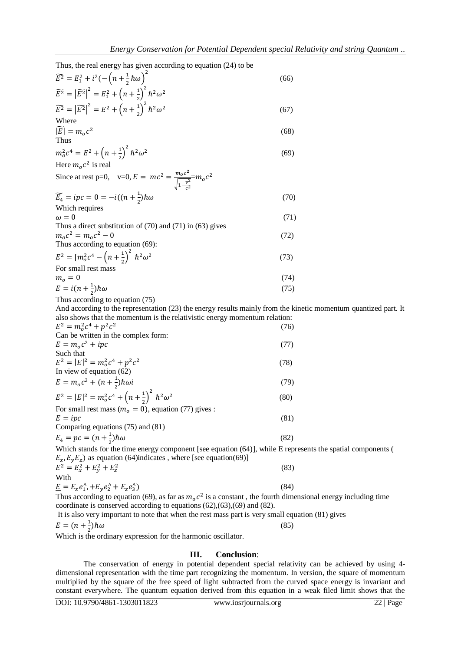Thus, the real energy has given according to equation (24) to be

| $\widetilde{E}^2 = E_1^2 + i^2(-\left(n + \frac{1}{2}\hbar\omega\right)^2)$                                                                                                                | (66) |  |
|--------------------------------------------------------------------------------------------------------------------------------------------------------------------------------------------|------|--|
| $\widetilde{E^2} =  \widetilde{E^2} ^2 = E_1^2 + \left(n + \frac{1}{2}\right)^2 \hbar^2 \omega^2$                                                                                          |      |  |
| $\widetilde{E^2} =  \widetilde{E^2} ^2 = E^2 + \left(n + \frac{1}{2}\right)^2 \hbar^2 \omega^2$                                                                                            | (67) |  |
| Where                                                                                                                                                                                      |      |  |
| $ \widetilde{E}  = m_0 c^2$<br>Thus                                                                                                                                                        | (68) |  |
| $m_o^2c^4 = E^2 + \left(n + \frac{1}{2}\right)^2 \hbar^2 \omega^2$                                                                                                                         | (69) |  |
| Here $m_0 c^2$ is real                                                                                                                                                                     |      |  |
| Since at rest p=0, v=0, $E = mc^2 = \frac{m_0 c^2}{\sqrt{1 - \frac{v^2}{c^2}}} m_0 c^2$                                                                                                    |      |  |
| $\widetilde{E_4} = ipc = 0 = -i((n + \frac{1}{2})\hbar\omega)$                                                                                                                             | (70) |  |
| Which requires                                                                                                                                                                             |      |  |
| $\omega = 0$                                                                                                                                                                               | (71) |  |
| Thus a direct substitution of $(70)$ and $(71)$ in $(63)$ gives                                                                                                                            |      |  |
| $m_{o}c^{2} = m_{o}c^{2} - 0$                                                                                                                                                              | (72) |  |
| Thus according to equation (69):                                                                                                                                                           |      |  |
| $E^2 = [m_o^2 c^4 - (n + \frac{1}{2})^2 \hbar^2 \omega^2]$                                                                                                                                 | (73) |  |
| For small rest mass                                                                                                                                                                        |      |  |
| $m_o = 0$                                                                                                                                                                                  | (74) |  |
| $E = i(n + \frac{1}{2})\hbar\omega$                                                                                                                                                        | (75) |  |
| Thus according to equation (75)                                                                                                                                                            |      |  |
| And according to the representation (23) the energy results mainly from the kinetic momentum quantized part. It                                                                            |      |  |
| also shows that the momentum is the relativistic energy momentum relation:                                                                                                                 |      |  |
| $E^2 = m_o^2 c^4 + p^2 c^2$                                                                                                                                                                | (76) |  |
| Can be written in the complex form:                                                                                                                                                        |      |  |
| $E = moc2 + ipc$                                                                                                                                                                           | (77) |  |
| Such that                                                                                                                                                                                  |      |  |
| $E^2 =  E ^2 = m_o^2 c^4 + p^2 c^2$                                                                                                                                                        | (78) |  |
| In view of equation $(62)$                                                                                                                                                                 |      |  |
| $E = m_o c^2 + (n + \frac{1}{2}) \hbar \omega i$                                                                                                                                           | (79) |  |
| $E^2 =  E ^2 = m_o^2 c^4 + \left(n + \frac{1}{2}\right)^2 \hbar^2 \omega^2$                                                                                                                | (80) |  |
| For small rest mass ( $mo = 0$ ), equation (77) gives :                                                                                                                                    |      |  |
| $E = lpc$                                                                                                                                                                                  | (81) |  |
| Comparing equations (75) and (81)                                                                                                                                                          |      |  |
| $E_4 = pc = (n + \frac{1}{2})\hbar\omega$                                                                                                                                                  | (82) |  |
| Which stands for the time energy component [see equation (64)], while E represents the spatial components (<br>$E_x, E_y, E_z$ ) as equation (64) indicates, where [see equation (69)]     |      |  |
| $E^2 = E_x^2 + E_y^2 + E_z^2$                                                                                                                                                              | (83) |  |
| With                                                                                                                                                                                       |      |  |
| $\underline{E} = E_x e_1^{\wedge}, +E_y e_2^{\wedge} + E_z e_3^{\wedge}$<br>Thus according to equation $(60)$ as for as $m_a^2$ is a constant the fourth dimensional energy including time | (84) |  |
|                                                                                                                                                                                            |      |  |

Thus according to equation (69), as far as  $m_0 c^2$  is a constant, the fourth dimensional energy including time coordinate is conserved according to equations (62),(63),(69) and (82).

It is also very important to note that when the rest mass part is very small equation (81) gives

$$
E = (n + \frac{1}{2})\hbar\omega\tag{85}
$$

Which is the ordinary expression for the harmonic oscillator.

# **III. Conclusion**:

The conservation of energy in potential dependent special relativity can be achieved by using 4 dimensional representation with the time part recognizing the momentum. In version, the square of momentum multiplied by the square of the free speed of light subtracted from the curved space energy is invariant and constant everywhere. The quantum equation derived from this equation in a weak filed limit shows that the